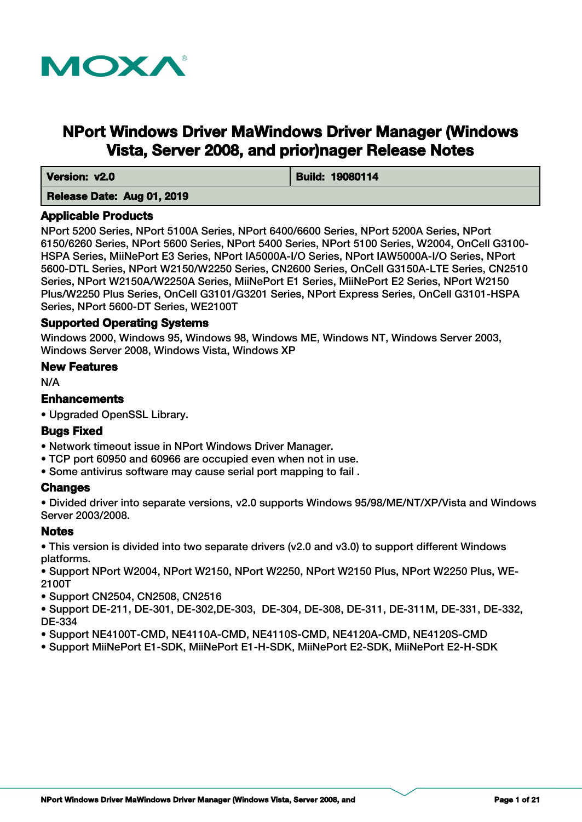

# **NPort Windows Driver MaWindows Driver Manager (Windows Vista, Server 2008, and prior)nager Release Notes**

 **Version: v2.0 Build: 19080114** 

# **Release Date: Aug 01, 2019**

## **Applicable Products**

NPort 5200 Series, NPort 5100A Series, NPort 6400/6600 Series, NPort 5200A Series, NPort 6150/6260 Series, NPort 5600 Series, NPort 5400 Series, NPort 5100 Series, W2004, OnCell G3100- HSPA Series, MiiNePort E3 Series, NPort IA5000A-I/O Series, NPort IAW5000A-I/O Series, NPort 5600-DTL Series, NPort W2150/W2250 Series, CN2600 Series, OnCell G3150A-LTE Series, CN2510 Series, NPort W2150A/W2250A Series, MiiNePort E1 Series, MiiNePort E2 Series, NPort W2150 Plus/W2250 Plus Series, OnCell G3101/G3201 Series, NPort Express Series, OnCell G3101-HSPA Series, NPort 5600-DT Series, WE2100T

# **Supported Operating Systems**

Windows 2000, Windows 95, Windows 98, Windows ME, Windows NT, Windows Server 2003, Windows Server 2008, Windows Vista, Windows XP

## **New Features**

N/A

# **Enhancements**

• Upgraded OpenSSL Library.

## **Bugs Fixed**

- Network timeout issue in NPort Windows Driver Manager.
- TCP port 60950 and 60966 are occupied even when not in use.
- Some antivirus software may cause serial port mapping to fail .

# **Changes**

• Divided driver into separate versions, v2.0 supports Windows 95/98/ME/NT/XP/Vista and Windows Server 2003/2008.

# **Notes**

• This version is divided into two separate drivers (v2.0 and v3.0) to support different Windows platforms.

• Support NPort W2004, NPort W2150, NPort W2250, NPort W2150 Plus, NPort W2250 Plus, WE-2100T

• Support CN2504, CN2508, CN2516

• Support DE-211, DE-301, DE-302,DE-303, DE-304, DE-308, DE-311, DE-311M, DE-331, DE-332, DE-334

- Support NE4100T-CMD, NE4110A-CMD, NE4110S-CMD, NE4120A-CMD, NE4120S-CMD
- Support MiiNePort E1-SDK, MiiNePort E1-H-SDK, MiiNePort E2-SDK, MiiNePort E2-H-SDK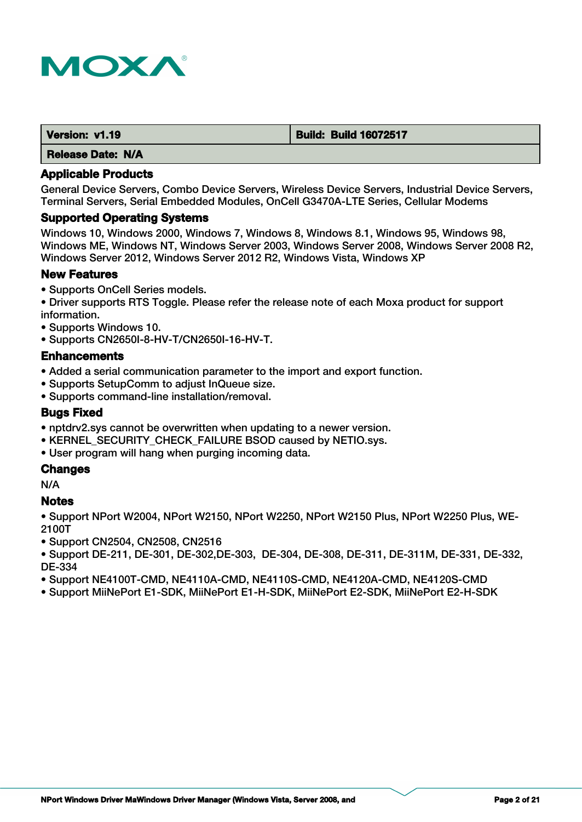

| Version: v1.19           | <b>Build: Build 16072517</b> |
|--------------------------|------------------------------|
| <b>Release Date: N/A</b> |                              |

General Device Servers, Combo Device Servers, Wireless Device Servers, Industrial Device Servers, Terminal Servers, Serial Embedded Modules, OnCell G3470A-LTE Series, Cellular Modems

#### **Supported Operating Systems**

Windows 10, Windows 2000, Windows 7, Windows 8, Windows 8.1, Windows 95, Windows 98, Windows ME, Windows NT, Windows Server 2003, Windows Server 2008, Windows Server 2008 R2, Windows Server 2012, Windows Server 2012 R2, Windows Vista, Windows XP

# **New Features**

- Supports OnCell Series models.
- Driver supports RTS Toggle. Please refer the release note of each Moxa product for support information.
- Supports Windows 10.
- Supports CN2650I-8-HV-T/CN2650I-16-HV-T.

#### **Enhancements**

- Added a serial communication parameter to the import and export function.
- Supports SetupComm to adjust InQueue size.
- Supports command-line installation/removal.

## **Bugs Fixed**

- nptdrv2.sys cannot be overwritten when updating to a newer version.
- KERNEL\_SECURITY\_CHECK\_FAILURE BSOD caused by NETIO.sys.
- User program will hang when purging incoming data.

## **Changes**

N/A

## **Notes**

• Support NPort W2004, NPort W2150, NPort W2250, NPort W2150 Plus, NPort W2250 Plus, WE-2100T

- Support CN2504, CN2508, CN2516
- Support DE-211, DE-301, DE-302,DE-303, DE-304, DE-308, DE-311, DE-311M, DE-331, DE-332, DE-334
- Support NE4100T-CMD, NE4110A-CMD, NE4110S-CMD, NE4120A-CMD, NE4120S-CMD
- Support MiiNePort E1-SDK, MiiNePort E1-H-SDK, MiiNePort E2-SDK, MiiNePort E2-H-SDK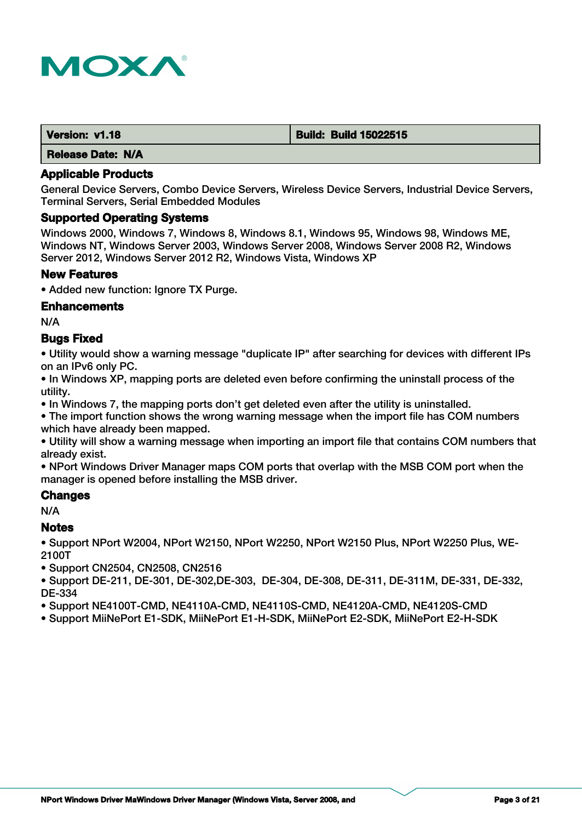

| Version: v1.18           | <b>Build: Build 15022515</b> |
|--------------------------|------------------------------|
| <b>Release Date: N/A</b> |                              |

General Device Servers, Combo Device Servers, Wireless Device Servers, Industrial Device Servers, Terminal Servers, Serial Embedded Modules

#### **Supported Operating Systems**

Windows 2000, Windows 7, Windows 8, Windows 8.1, Windows 95, Windows 98, Windows ME, Windows NT, Windows Server 2003, Windows Server 2008, Windows Server 2008 R2, Windows Server 2012, Windows Server 2012 R2, Windows Vista, Windows XP

#### **New Features**

• Added new function: Ignore TX Purge.

#### **Enhancements**

N/A

## **Bugs Fixed**

• Utility would show a warning message "duplicate IP" after searching for devices with different IPs on an IPv6 only PC.

• In Windows XP, mapping ports are deleted even before confirming the uninstall process of the utility.

• In Windows 7, the mapping ports don't get deleted even after the utility is uninstalled.

• The import function shows the wrong warning message when the import file has COM numbers which have already been mapped.

• Utility will show a warning message when importing an import file that contains COM numbers that already exist.

• NPort Windows Driver Manager maps COM ports that overlap with the MSB COM port when the manager is opened before installing the MSB driver.

#### **Changes**

N/A

#### **Notes**

• Support NPort W2004, NPort W2150, NPort W2250, NPort W2150 Plus, NPort W2250 Plus, WE-2100T

• Support CN2504, CN2508, CN2516

• Support DE-211, DE-301, DE-302,DE-303, DE-304, DE-308, DE-311, DE-311M, DE-331, DE-332, DE-334

• Support NE4100T-CMD, NE4110A-CMD, NE4110S-CMD, NE4120A-CMD, NE4120S-CMD

• Support MiiNePort E1-SDK, MiiNePort E1-H-SDK, MiiNePort E2-SDK, MiiNePort E2-H-SDK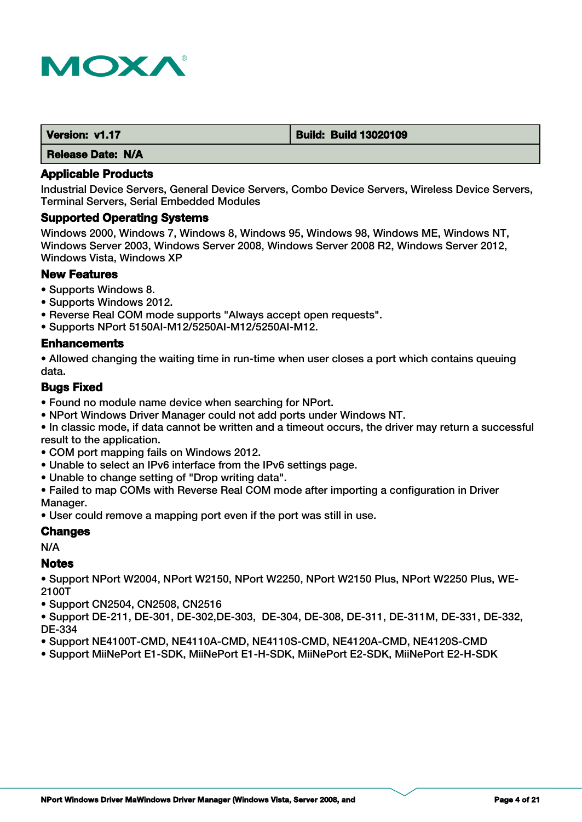

| Version: v1.17           | <b>Build: Build 13020109</b> |
|--------------------------|------------------------------|
| <b>Release Date: N/A</b> |                              |

Industrial Device Servers, General Device Servers, Combo Device Servers, Wireless Device Servers, Terminal Servers, Serial Embedded Modules

#### **Supported Operating Systems**

Windows 2000, Windows 7, Windows 8, Windows 95, Windows 98, Windows ME, Windows NT, Windows Server 2003, Windows Server 2008, Windows Server 2008 R2, Windows Server 2012, Windows Vista, Windows XP

# **New Features**

- Supports Windows 8.
- Supports Windows 2012.
- Reverse Real COM mode supports "Always accept open requests".
- Supports NPort 5150AI-M12/5250AI-M12/5250AI-M12.

#### **Enhancements**

• Allowed changing the waiting time in run-time when user closes a port which contains queuing data.

# **Bugs Fixed**

- Found no module name device when searching for NPort.
- NPort Windows Driver Manager could not add ports under Windows NT.

• In classic mode, if data cannot be written and a timeout occurs, the driver may return a successful result to the application.

- COM port mapping fails on Windows 2012.
- Unable to select an IPv6 interface from the IPv6 settings page.
- Unable to change setting of "Drop writing data".
- Failed to map COMs with Reverse Real COM mode after importing a configuration in Driver Manager.
- User could remove a mapping port even if the port was still in use.

# **Changes**

N/A

## **Notes**

• Support NPort W2004, NPort W2150, NPort W2250, NPort W2150 Plus, NPort W2250 Plus, WE-2100T

• Support CN2504, CN2508, CN2516

• Support DE-211, DE-301, DE-302,DE-303, DE-304, DE-308, DE-311, DE-311M, DE-331, DE-332, DE-334

- Support NE4100T-CMD, NE4110A-CMD, NE4110S-CMD, NE4120A-CMD, NE4120S-CMD
- Support MiiNePort E1-SDK, MiiNePort E1-H-SDK, MiiNePort E2-SDK, MiiNePort E2-H-SDK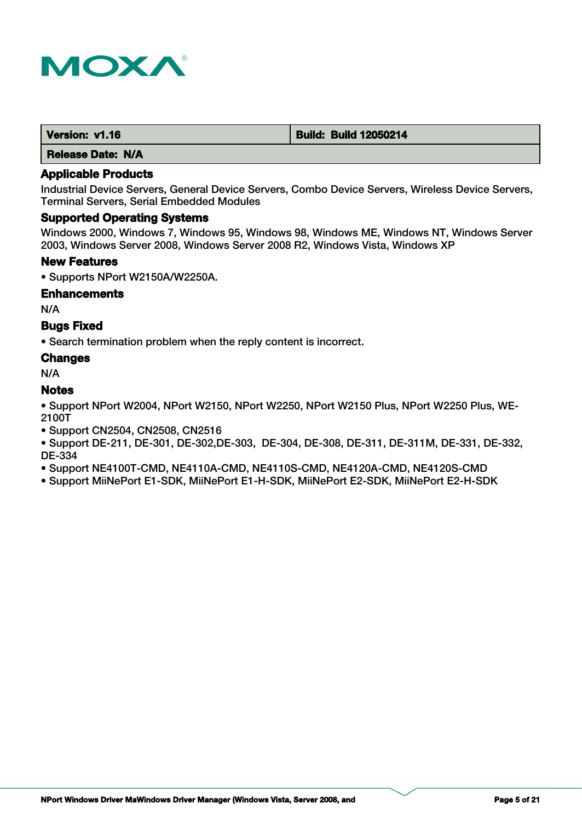

| Version: v1.16 | <b>Build: Build 12050214</b> |
|----------------|------------------------------|
|                |                              |

## **Applicable Products**

Industrial Device Servers, General Device Servers, Combo Device Servers, Wireless Device Servers, Terminal Servers, Serial Embedded Modules

## **Supported Operating Systems**

Windows 2000, Windows 7, Windows 95, Windows 98, Windows ME, Windows NT, Windows Server 2003, Windows Server 2008, Windows Server 2008 R2, Windows Vista, Windows XP

#### **New Features**

• Supports NPort W2150A/W2250A.

#### **Enhancements**

N/A

## **Bugs Fixed**

• Search termination problem when the reply content is incorrect.

#### **Changes**

N/A

# **Notes**

• Support NPort W2004, NPort W2150, NPort W2250, NPort W2150 Plus, NPort W2250 Plus, WE-2100T

• Support CN2504, CN2508, CN2516

• Support DE-211, DE-301, DE-302,DE-303, DE-304, DE-308, DE-311, DE-311M, DE-331, DE-332, DE-334

• Support NE4100T-CMD, NE4110A-CMD, NE4110S-CMD, NE4120A-CMD, NE4120S-CMD

• Support MiiNePort E1-SDK, MiiNePort E1-H-SDK, MiiNePort E2-SDK, MiiNePort E2-H-SDK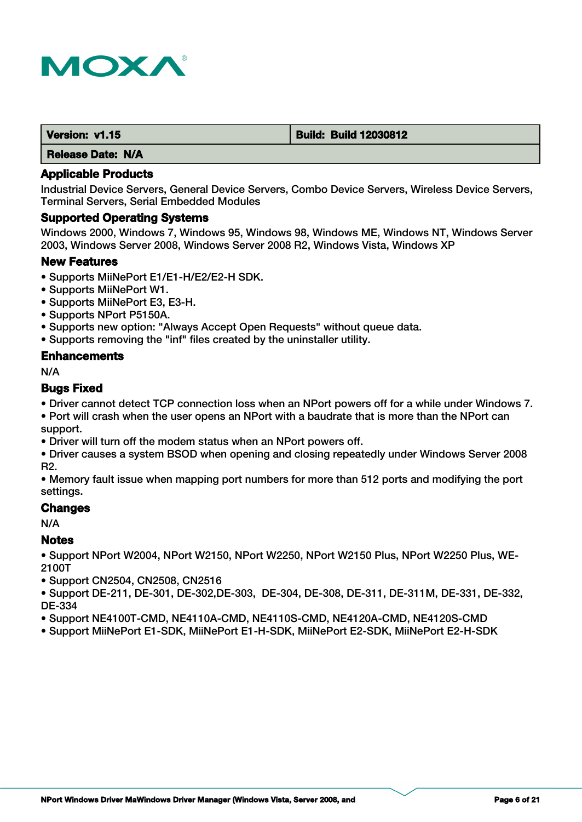

| Version: v1.15 | <b>Build: Build 12030812</b> |
|----------------|------------------------------|
|                |                              |

## **Applicable Products**

Industrial Device Servers, General Device Servers, Combo Device Servers, Wireless Device Servers, Terminal Servers, Serial Embedded Modules

#### **Supported Operating Systems**

Windows 2000, Windows 7, Windows 95, Windows 98, Windows ME, Windows NT, Windows Server 2003, Windows Server 2008, Windows Server 2008 R2, Windows Vista, Windows XP

#### **New Features**

- Supports MiiNePort E1/E1-H/E2/E2-H SDK.
- Supports MiiNePort W1.
- Supports MiiNePort E3, E3-H.
- Supports NPort P5150A.
- Supports new option: "Always Accept Open Requests" without queue data.
- Supports removing the "inf" files created by the uninstaller utility.

#### **Enhancements**

N/A

# **Bugs Fixed**

• Driver cannot detect TCP connection loss when an NPort powers off for a while under Windows 7.

• Port will crash when the user opens an NPort with a baudrate that is more than the NPort can support.

• Driver will turn off the modem status when an NPort powers off.

• Driver causes a system BSOD when opening and closing repeatedly under Windows Server 2008 R2.

• Memory fault issue when mapping port numbers for more than 512 ports and modifying the port settings.

## **Changes**

N/A

## **Notes**

• Support NPort W2004, NPort W2150, NPort W2250, NPort W2150 Plus, NPort W2250 Plus, WE-2100T

• Support CN2504, CN2508, CN2516

• Support DE-211, DE-301, DE-302,DE-303, DE-304, DE-308, DE-311, DE-311M, DE-331, DE-332, DE-334

- Support NE4100T-CMD, NE4110A-CMD, NE4110S-CMD, NE4120A-CMD, NE4120S-CMD
- Support MiiNePort E1-SDK, MiiNePort E1-H-SDK, MiiNePort E2-SDK, MiiNePort E2-H-SDK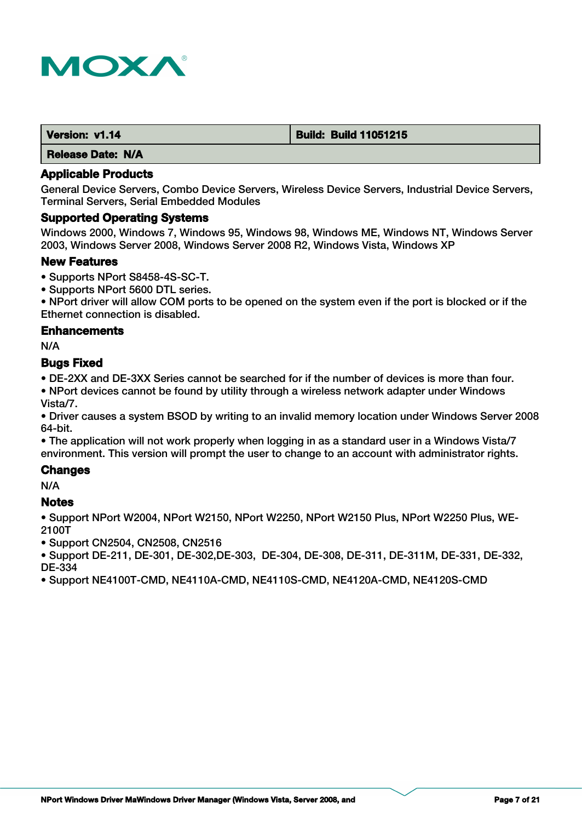

| Version: v1.14           | <b>Build: Build 11051215</b> |
|--------------------------|------------------------------|
| <b>Release Date: N/A</b> |                              |

General Device Servers, Combo Device Servers, Wireless Device Servers, Industrial Device Servers, Terminal Servers, Serial Embedded Modules

#### **Supported Operating Systems**

Windows 2000, Windows 7, Windows 95, Windows 98, Windows ME, Windows NT, Windows Server 2003, Windows Server 2008, Windows Server 2008 R2, Windows Vista, Windows XP

#### **New Features**

- Supports NPort S8458-4S-SC-T.
- Supports NPort 5600 DTL series.

• NPort driver will allow COM ports to be opened on the system even if the port is blocked or if the Ethernet connection is disabled.

#### **Enhancements**

N/A

#### **Bugs Fixed**

• DE-2XX and DE-3XX Series cannot be searched for if the number of devices is more than four.

• NPort devices cannot be found by utility through a wireless network adapter under Windows Vista/7.

• Driver causes a system BSOD by writing to an invalid memory location under Windows Server 2008 64-bit.

• The application will not work properly when logging in as a standard user in a Windows Vista/7 environment. This version will prompt the user to change to an account with administrator rights.

## **Changes**

N/A

## **Notes**

• Support NPort W2004, NPort W2150, NPort W2250, NPort W2150 Plus, NPort W2250 Plus, WE-2100T

• Support CN2504, CN2508, CN2516

• Support DE-211, DE-301, DE-302,DE-303, DE-304, DE-308, DE-311, DE-311M, DE-331, DE-332, DE-334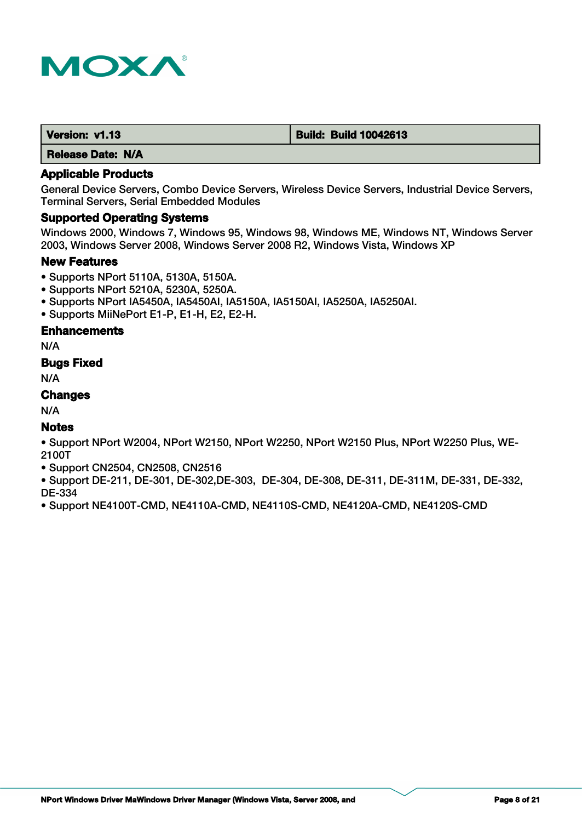

| Version: v1.13 | <b>Build: Build 10042613</b> |
|----------------|------------------------------|
|                |                              |

### **Applicable Products**

General Device Servers, Combo Device Servers, Wireless Device Servers, Industrial Device Servers, Terminal Servers, Serial Embedded Modules

#### **Supported Operating Systems**

Windows 2000, Windows 7, Windows 95, Windows 98, Windows ME, Windows NT, Windows Server 2003, Windows Server 2008, Windows Server 2008 R2, Windows Vista, Windows XP

#### **New Features**

- Supports NPort 5110A, 5130A, 5150A.
- Supports NPort 5210A, 5230A, 5250A.
- Supports NPort IA5450A, IA5450AI, IA5150A, IA5150AI, IA5250A, IA5250AI.
- Supports MiiNePort E1-P, E1-H, E2, E2-H.

## **Enhancements**

N/A

## **Bugs Fixed**

N/A

# **Changes**

N/A

## **Notes**

• Support NPort W2004, NPort W2150, NPort W2250, NPort W2150 Plus, NPort W2250 Plus, WE-2100T

• Support CN2504, CN2508, CN2516

• Support DE-211, DE-301, DE-302,DE-303, DE-304, DE-308, DE-311, DE-311M, DE-331, DE-332, DE-334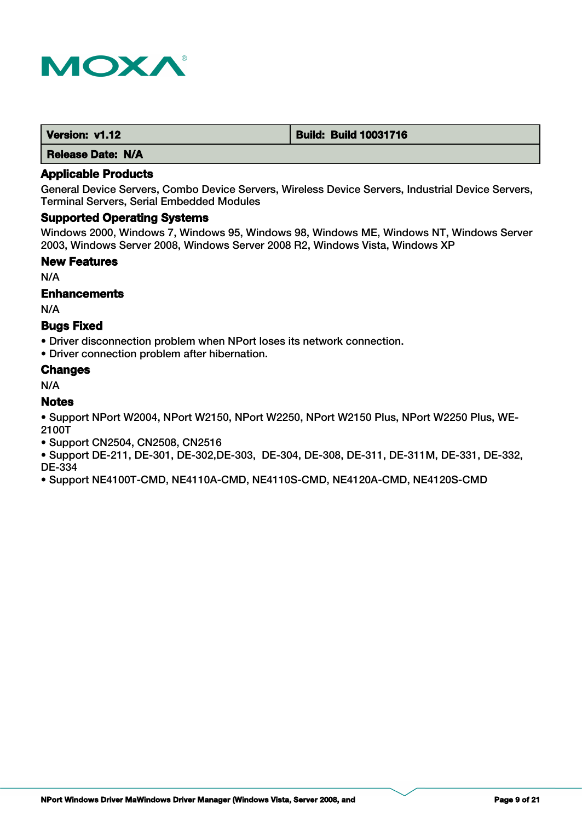

| Version: v1.12           | <b>Build: Build 10031716</b> |
|--------------------------|------------------------------|
| <b>Release Date: N/A</b> |                              |

General Device Servers, Combo Device Servers, Wireless Device Servers, Industrial Device Servers, Terminal Servers, Serial Embedded Modules

## **Supported Operating Systems**

Windows 2000, Windows 7, Windows 95, Windows 98, Windows ME, Windows NT, Windows Server 2003, Windows Server 2008, Windows Server 2008 R2, Windows Vista, Windows XP

#### **New Features**

N/A

#### **Enhancements**

N/A

## **Bugs Fixed**

• Driver disconnection problem when NPort loses its network connection.

• Driver connection problem after hibernation.

#### **Changes**

N/A

## **Notes**

• Support NPort W2004, NPort W2150, NPort W2250, NPort W2150 Plus, NPort W2250 Plus, WE-2100T

- Support CN2504, CN2508, CN2516
- Support DE-211, DE-301, DE-302,DE-303, DE-304, DE-308, DE-311, DE-311M, DE-331, DE-332, DE-334
- Support NE4100T-CMD, NE4110A-CMD, NE4110S-CMD, NE4120A-CMD, NE4120S-CMD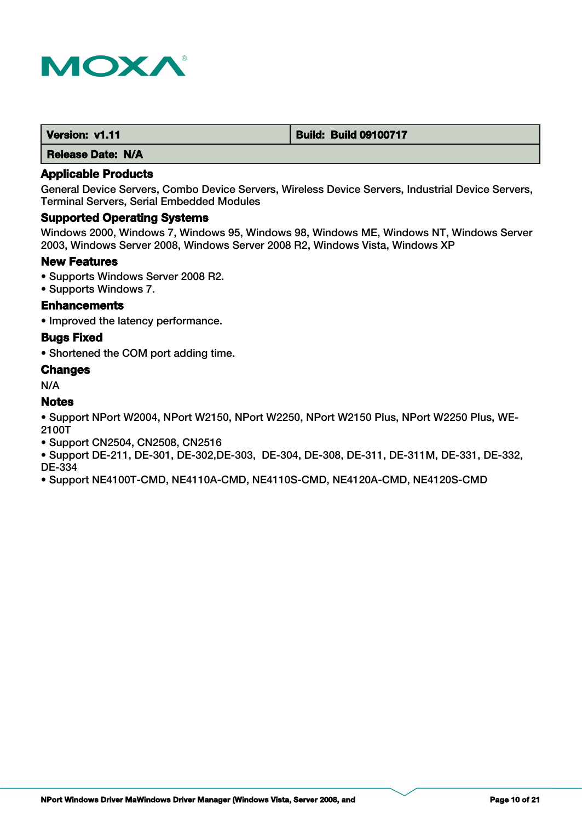

| Version: v1.11 | <b>Build: Build 09100717</b> |
|----------------|------------------------------|
|                |                              |

## **Applicable Products**

General Device Servers, Combo Device Servers, Wireless Device Servers, Industrial Device Servers, Terminal Servers, Serial Embedded Modules

# **Supported Operating Systems**

Windows 2000, Windows 7, Windows 95, Windows 98, Windows ME, Windows NT, Windows Server 2003, Windows Server 2008, Windows Server 2008 R2, Windows Vista, Windows XP

#### **New Features**

- Supports Windows Server 2008 R2.
- Supports Windows 7.

## **Enhancements**

• Improved the latency performance.

#### **Bugs Fixed**

• Shortened the COM port adding time.

## **Changes**

N/A

## **Notes**

• Support NPort W2004, NPort W2150, NPort W2250, NPort W2150 Plus, NPort W2250 Plus, WE-2100T

- Support CN2504, CN2508, CN2516
- Support DE-211, DE-301, DE-302,DE-303, DE-304, DE-308, DE-311, DE-311M, DE-331, DE-332, DE-334
- Support NE4100T-CMD, NE4110A-CMD, NE4110S-CMD, NE4120A-CMD, NE4120S-CMD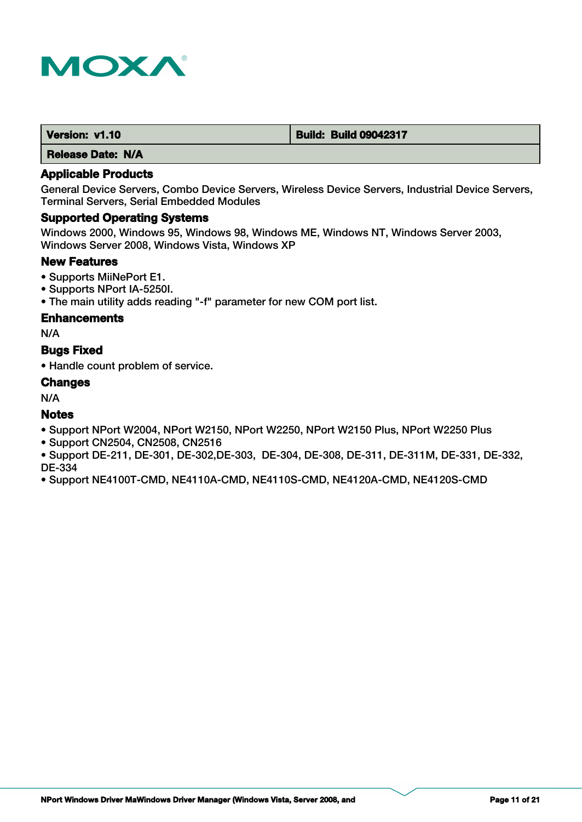

| Version: v1.10 | <b>Build: Build 09042317</b> |
|----------------|------------------------------|
|                |                              |

## **Applicable Products**

General Device Servers, Combo Device Servers, Wireless Device Servers, Industrial Device Servers, Terminal Servers, Serial Embedded Modules

## **Supported Operating Systems**

Windows 2000, Windows 95, Windows 98, Windows ME, Windows NT, Windows Server 2003, Windows Server 2008, Windows Vista, Windows XP

## **New Features**

- Supports MiiNePort E1.
- Supports NPort IA-5250I.
- The main utility adds reading "-f" parameter for new COM port list.

#### **Enhancements**

N/A

## **Bugs Fixed**

• Handle count problem of service.

#### **Changes**

N/A

## **Notes**

- Support NPort W2004, NPort W2150, NPort W2250, NPort W2150 Plus, NPort W2250 Plus
- Support CN2504, CN2508, CN2516
- Support DE-211, DE-301, DE-302,DE-303, DE-304, DE-308, DE-311, DE-311M, DE-331, DE-332, DE-334
- Support NE4100T-CMD, NE4110A-CMD, NE4110S-CMD, NE4120A-CMD, NE4120S-CMD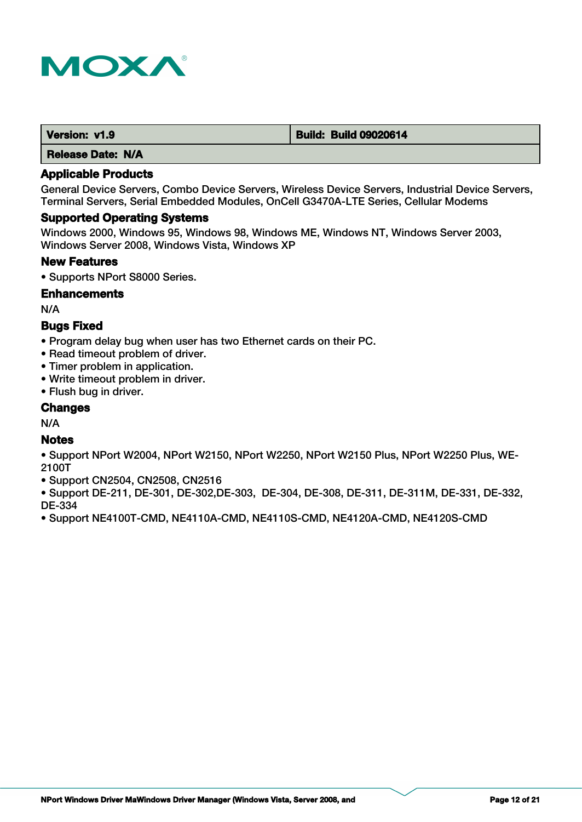

| Version: v1.9 | <b>Build: Build 09020614</b> |
|---------------|------------------------------|
|               |                              |

### **Applicable Products**

General Device Servers, Combo Device Servers, Wireless Device Servers, Industrial Device Servers, Terminal Servers, Serial Embedded Modules, OnCell G3470A-LTE Series, Cellular Modems

#### **Supported Operating Systems**

Windows 2000, Windows 95, Windows 98, Windows ME, Windows NT, Windows Server 2003, Windows Server 2008, Windows Vista, Windows XP

#### **New Features**

• Supports NPort S8000 Series.

#### **Enhancements**

N/A

## **Bugs Fixed**

- Program delay bug when user has two Ethernet cards on their PC.
- Read timeout problem of driver.
- Timer problem in application.
- Write timeout problem in driver.
- Flush bug in driver.

## **Changes**

N/A

## **Notes**

- Support NPort W2004, NPort W2150, NPort W2250, NPort W2150 Plus, NPort W2250 Plus, WE-2100T
- Support CN2504, CN2508, CN2516
- Support DE-211, DE-301, DE-302,DE-303, DE-304, DE-308, DE-311, DE-311M, DE-331, DE-332, DE-334
- Support NE4100T-CMD, NE4110A-CMD, NE4110S-CMD, NE4120A-CMD, NE4120S-CMD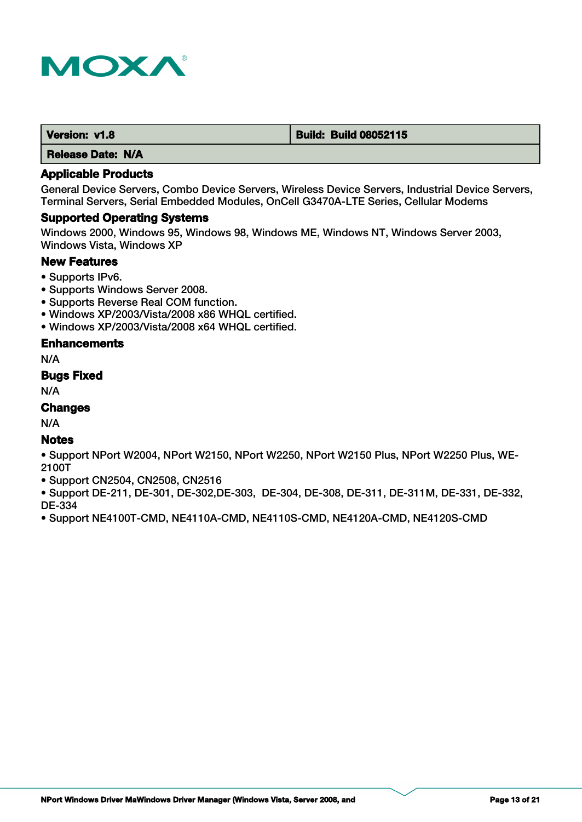

| Version: v1.8 | <b>Build: Build 08052115</b> |
|---------------|------------------------------|
|               |                              |

## **Applicable Products**

General Device Servers, Combo Device Servers, Wireless Device Servers, Industrial Device Servers, Terminal Servers, Serial Embedded Modules, OnCell G3470A-LTE Series, Cellular Modems

#### **Supported Operating Systems**

Windows 2000, Windows 95, Windows 98, Windows ME, Windows NT, Windows Server 2003, Windows Vista, Windows XP

## **New Features**

- Supports IPv6.
- Supports Windows Server 2008.
- Supports Reverse Real COM function.
- Windows XP/2003/Vista/2008 x86 WHQL certified.
- Windows XP/2003/Vista/2008 x64 WHQL certified.

## **Enhancements**

N/A

### **Bugs Fixed**

N/A

# **Changes**

N/A

# **Notes**

• Support NPort W2004, NPort W2150, NPort W2250, NPort W2150 Plus, NPort W2250 Plus, WE-2100T

• Support CN2504, CN2508, CN2516

• Support DE-211, DE-301, DE-302,DE-303, DE-304, DE-308, DE-311, DE-311M, DE-331, DE-332, DE-334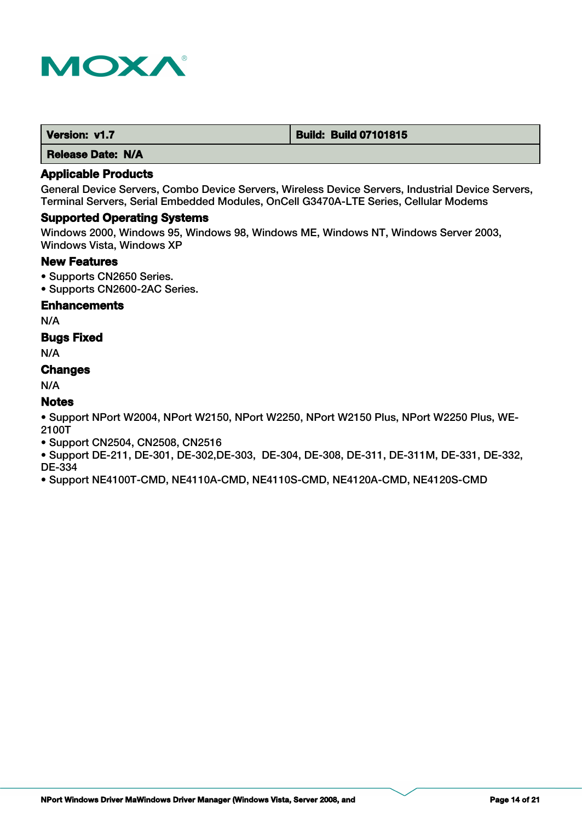

| Version: v1.7 | <b>Build: Build 07101815</b> |
|---------------|------------------------------|
|---------------|------------------------------|

# **Applicable Products**

General Device Servers, Combo Device Servers, Wireless Device Servers, Industrial Device Servers, Terminal Servers, Serial Embedded Modules, OnCell G3470A-LTE Series, Cellular Modems

#### **Supported Operating Systems**

Windows 2000, Windows 95, Windows 98, Windows ME, Windows NT, Windows Server 2003, Windows Vista, Windows XP

## **New Features**

- Supports CN2650 Series.
- Supports CN2600-2AC Series.

## **Enhancements**

N/A

## **Bugs Fixed**

N/A

## **Changes**

N/A

## **Notes**

• Support NPort W2004, NPort W2150, NPort W2250, NPort W2150 Plus, NPort W2250 Plus, WE-2100T

- Support CN2504, CN2508, CN2516
- Support DE-211, DE-301, DE-302,DE-303, DE-304, DE-308, DE-311, DE-311M, DE-331, DE-332, DE-334
- Support NE4100T-CMD, NE4110A-CMD, NE4110S-CMD, NE4120A-CMD, NE4120S-CMD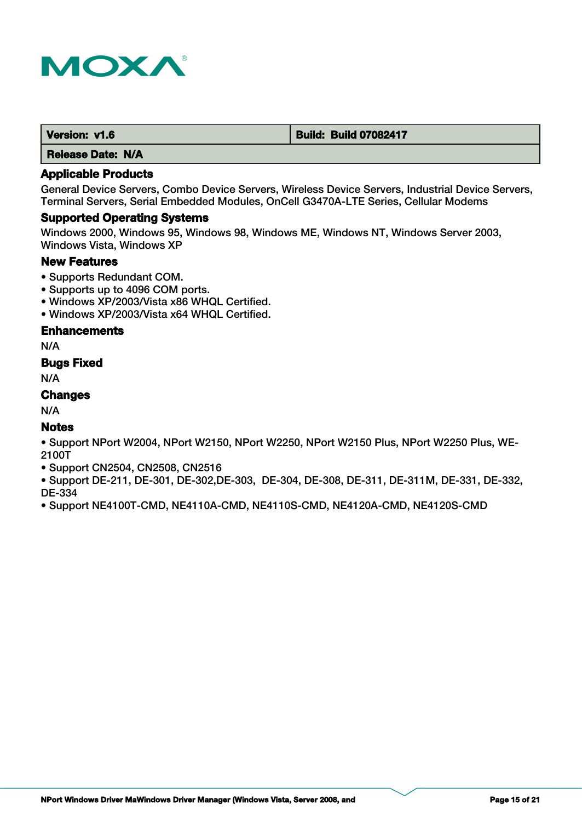

| Version: v1.6 | <b>Build: Build 07082417</b> |
|---------------|------------------------------|
|---------------|------------------------------|

# **Applicable Products**

General Device Servers, Combo Device Servers, Wireless Device Servers, Industrial Device Servers, Terminal Servers, Serial Embedded Modules, OnCell G3470A-LTE Series, Cellular Modems

#### **Supported Operating Systems**

Windows 2000, Windows 95, Windows 98, Windows ME, Windows NT, Windows Server 2003, Windows Vista, Windows XP

## **New Features**

- Supports Redundant COM.
- Supports up to 4096 COM ports.
- Windows XP/2003/Vista x86 WHQL Certified.
- Windows XP/2003/Vista x64 WHQL Certified.

## **Enhancements**

N/A

## **Bugs Fixed**

N/A

# **Changes**

N/A

## **Notes**

• Support NPort W2004, NPort W2150, NPort W2250, NPort W2150 Plus, NPort W2250 Plus, WE-2100T

• Support CN2504, CN2508, CN2516

• Support DE-211, DE-301, DE-302,DE-303, DE-304, DE-308, DE-311, DE-311M, DE-331, DE-332, DE-334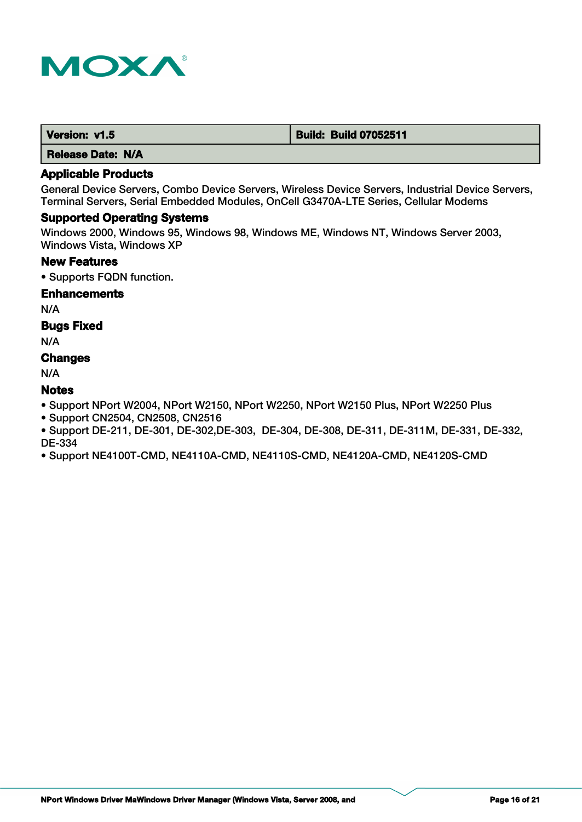

| Version: v1.5 | <b>Build: Build 07052511</b> |
|---------------|------------------------------|
|               |                              |

## **Applicable Products**

General Device Servers, Combo Device Servers, Wireless Device Servers, Industrial Device Servers, Terminal Servers, Serial Embedded Modules, OnCell G3470A-LTE Series, Cellular Modems

#### **Supported Operating Systems**

Windows 2000, Windows 95, Windows 98, Windows ME, Windows NT, Windows Server 2003, Windows Vista, Windows XP

## **New Features**

• Supports FQDN function.

#### **Enhancements**

N/A

## **Bugs Fixed**

N/A

# **Changes**

N/A

# **Notes**

• Support NPort W2004, NPort W2150, NPort W2250, NPort W2150 Plus, NPort W2250 Plus

• Support CN2504, CN2508, CN2516

• Support DE-211, DE-301, DE-302,DE-303, DE-304, DE-308, DE-311, DE-311M, DE-331, DE-332, DE-334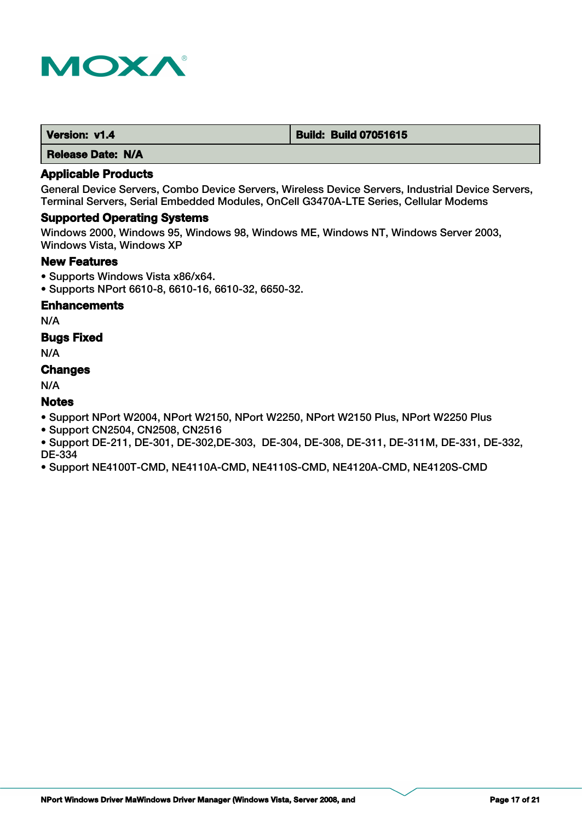

# **Applicable Products**

General Device Servers, Combo Device Servers, Wireless Device Servers, Industrial Device Servers, Terminal Servers, Serial Embedded Modules, OnCell G3470A-LTE Series, Cellular Modems

#### **Supported Operating Systems**

Windows 2000, Windows 95, Windows 98, Windows ME, Windows NT, Windows Server 2003, Windows Vista, Windows XP

## **New Features**

- Supports Windows Vista x86/x64.
- Supports NPort 6610-8, 6610-16, 6610-32, 6650-32.

# **Enhancements**

N/A

## **Bugs Fixed**

N/A

#### **Changes**

N/A

## **Notes**

- Support NPort W2004, NPort W2150, NPort W2250, NPort W2150 Plus, NPort W2250 Plus
- Support CN2504, CN2508, CN2516
- Support DE-211, DE-301, DE-302,DE-303, DE-304, DE-308, DE-311, DE-311M, DE-331, DE-332, DE-334
- Support NE4100T-CMD, NE4110A-CMD, NE4110S-CMD, NE4120A-CMD, NE4120S-CMD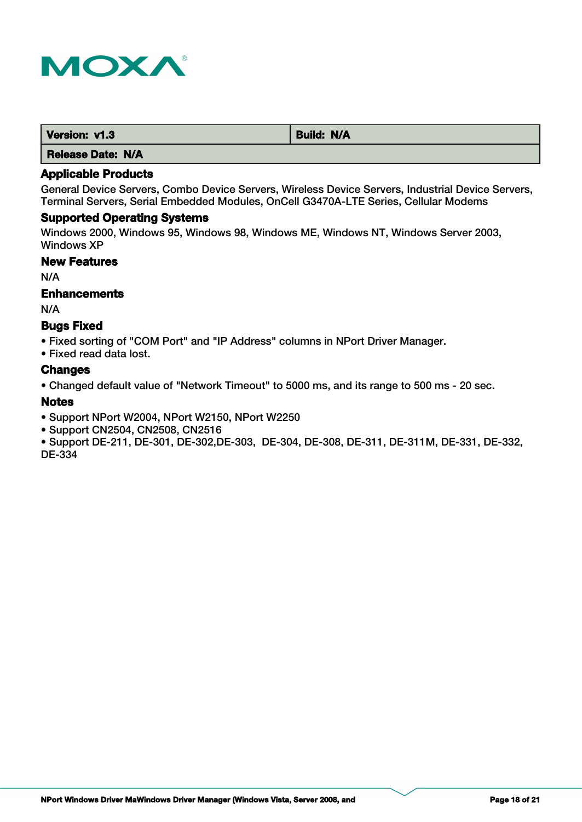

| Version: v1.3     | <b>Build: N/A</b> |
|-------------------|-------------------|
| Release Date: N/A |                   |

General Device Servers, Combo Device Servers, Wireless Device Servers, Industrial Device Servers, Terminal Servers, Serial Embedded Modules, OnCell G3470A-LTE Series, Cellular Modems

## **Supported Operating Systems**

Windows 2000, Windows 95, Windows 98, Windows ME, Windows NT, Windows Server 2003, Windows XP

## **New Features**

N/A

#### **Enhancements**

N/A

#### **Bugs Fixed**

• Fixed sorting of "COM Port" and "IP Address" columns in NPort Driver Manager.

• Fixed read data lost.

#### **Changes**

• Changed default value of "Network Timeout" to 5000 ms, and its range to 500 ms - 20 sec.

#### **Notes**

• Support NPort W2004, NPort W2150, NPort W2250

- Support CN2504, CN2508, CN2516
- Support DE-211, DE-301, DE-302,DE-303, DE-304, DE-308, DE-311, DE-311M, DE-331, DE-332, DE-334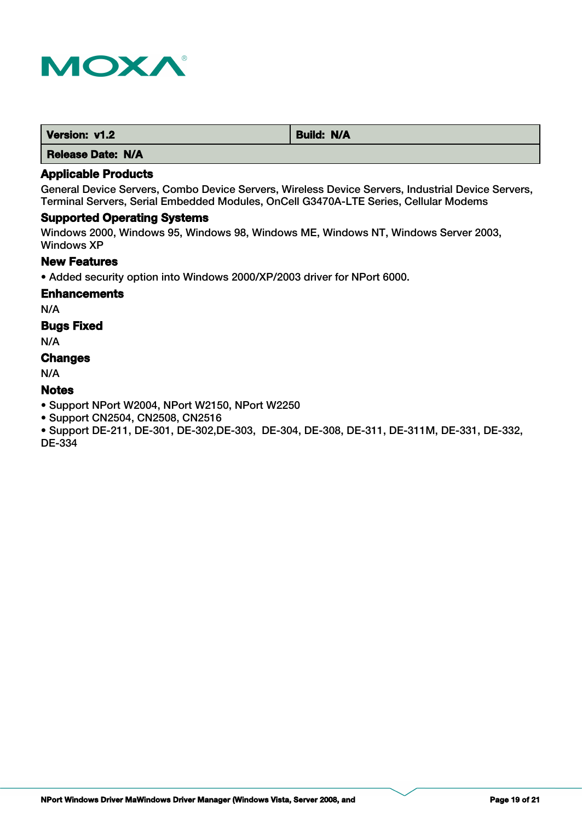

| Version: v1.2 | <b>Build: N/A</b> |
|---------------|-------------------|
| ----          |                   |

## **Applicable Products**

General Device Servers, Combo Device Servers, Wireless Device Servers, Industrial Device Servers, Terminal Servers, Serial Embedded Modules, OnCell G3470A-LTE Series, Cellular Modems

## **Supported Operating Systems**

Windows 2000, Windows 95, Windows 98, Windows ME, Windows NT, Windows Server 2003, Windows XP

## **New Features**

• Added security option into Windows 2000/XP/2003 driver for NPort 6000.

#### **Enhancements**

N/A

## **Bugs Fixed**

N/A

# **Changes**

N/A

# **Notes**

• Support NPort W2004, NPort W2150, NPort W2250

• Support CN2504, CN2508, CN2516

• Support DE-211, DE-301, DE-302,DE-303, DE-304, DE-308, DE-311, DE-311M, DE-331, DE-332, DE-334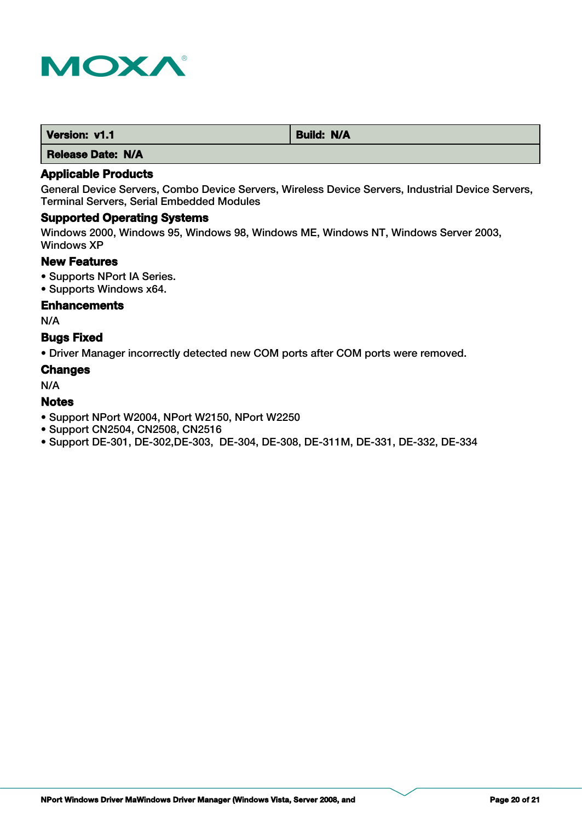

| Version: v1.1 | <b>Build: N/A</b> |
|---------------|-------------------|
|               |                   |

## **Applicable Products**

General Device Servers, Combo Device Servers, Wireless Device Servers, Industrial Device Servers, Terminal Servers, Serial Embedded Modules

## **Supported Operating Systems**

Windows 2000, Windows 95, Windows 98, Windows ME, Windows NT, Windows Server 2003, Windows XP

## **New Features**

- Supports NPort IA Series.
- Supports Windows x64.

## **Enhancements**

N/A

## **Bugs Fixed**

• Driver Manager incorrectly detected new COM ports after COM ports were removed.

#### **Changes**

N/A

## **Notes**

- Support NPort W2004, NPort W2150, NPort W2250
- Support CN2504, CN2508, CN2516
- Support DE-301, DE-302,DE-303, DE-304, DE-308, DE-311M, DE-331, DE-332, DE-334